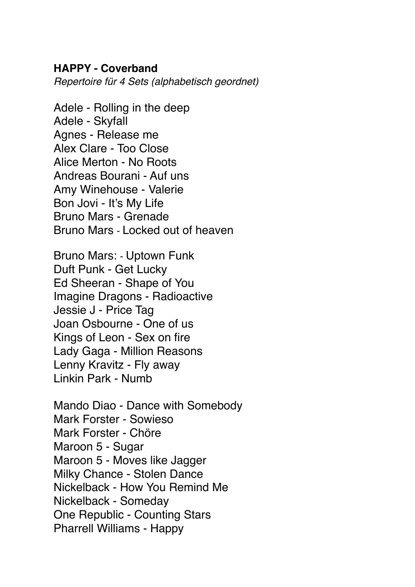## **HAPPY - Coverband**

*Repertoire für 4 Sets (alphabetisch geordnet)*

Adele - Rolling in the deep Adele - Skyfall Agnes - Release me Alex Clare - Too Close Alice Merton - No Roots Andreas Bourani - Auf uns Amy Winehouse - Valerie Bon Jovi - It's My Life Bruno Mars - Grenade Bruno Mars - Locked out of heaven

Bruno Mars: - Uptown Funk Duft Punk - Get Lucky Ed Sheeran - Shape of You Imagine Dragons - Radioactive Jessie J - Price Tag Joan Osbourne - One of us Kings of Leon - Sex on fire Lady Gaga - Million Reasons Lenny Kravitz - Fly away Linkin Park - Numb

Mando Diao - Dance with Somebody Mark Forster - Sowieso Mark Forster - Chöre Maroon 5 - Sugar Maroon 5 - Moves like Jagger Milky Chance - Stolen Dance Nickelback - How You Remind Me Nickelback - Someday One Republic - Counting Stars Pharrell Williams - Happy